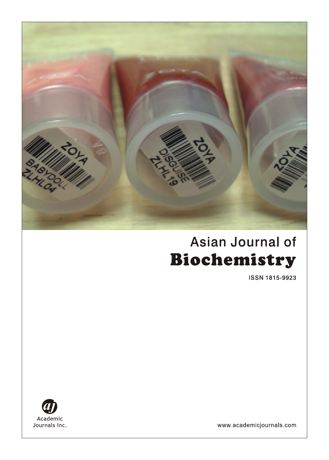

# Asian Journal of Biochemistry

**ISSN 1815-9923** 



www.academicjournals.com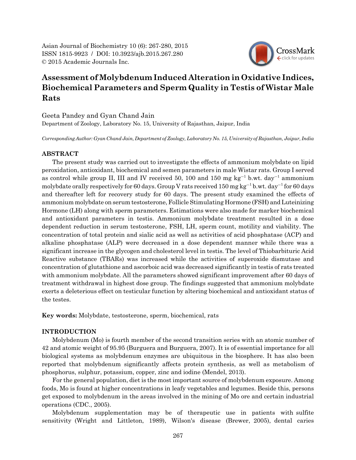Asian Journal of Biochemistry 10 (6): 267-280, 2015 ISSN 1815-9923 / DOI: 10.3923/ajb.2015.267.280 © 2015 Academic Journals Inc.



# **Assessment of Molybdenum Induced Alteration in Oxidative Indices, Biochemical Parameters and Sperm Quality in Testis of Wistar Male Rats**

Geeta Pandey and Gyan Chand Jain Department of Zoology, Laboratory No. 15, University of Rajasthan, Jaipur, India

*Corresponding Author: Gyan Chand Jain, Department of Zoology, Laboratory No. 15, University of Rajasthan, Jaipur, India*

# **ABSTRACT**

The present study was carried out to investigate the effects of ammonium molybdate on lipid peroxidation, antioxidant, biochemical and semen parameters in male Wistar rats. Group I served as control while group II, III and IV received 50, 100 and 150 mg  $kg^{-1}$  b.wt. day<sup>-1</sup> ammonium molybdate orally respectively for 60 days. Group V rats received 150 mg kg<sup>-1</sup> b.wt. day<sup>-1</sup> for 60 days and thereafter left for recovery study for 60 days. The present study examined the effects of ammonium molybdate on serum testosterone, Follicle Stimulating Hormone (FSH) and Luteinizing Hormone (LH) along with sperm parameters. Estimations were also made for marker biochemical and antioxidant parameters in testis. Ammonium molybdate treatment resulted in a dose dependent reduction in serum testosterone, FSH, LH, sperm count, motility and viability. The concentration of total protein and sialic acid as well as activities of acid phosphatase (ACP) and alkaline phosphatase (ALP) were decreased in a dose dependent manner while there was a significant increase in the glycogen and cholesterol level in testis. The level of Thiobarbituric Acid Reactive substance (TBARs) was increased while the activities of superoxide dismutase and concentration of glutathione and ascorboic acid was decreased significantly in testis of rats treated with ammonium molybdate. All the parameters showed significant improvement after 60 days of treatment withdrawal in highest dose group. The findings suggested that ammonium molybdate exerts a deleterious effect on testicular function by altering biochemical and antioxidant status of the testes.

**Key words:** Molybdate, testosterone, sperm, biochemical, rats

## **INTRODUCTION**

Molybdenum (Mo) is fourth member of the second transition series with an atomic number of 42 and atomic weight of 95.95 (Burguera and Burguera, 2007). It is of essential importance for all biological systems as molybdenum enzymes are ubiquitous in the biosphere. It has also been reported that molybdenum significantly affects protein synthesis, as well as metabolism of phosphorus, sulphur, potassium, copper, zinc and iodine (Mendel, 2013).

For the general population, diet is the most important source of molybdenum exposure. Among foods, Mo is found at higher concentrations in leafy vegetables and legumes. Beside this, persons get exposed to molybdenum in the areas involved in the mining of Mo ore and certain industrial operations (CDC., 2005).

Molybdenum supplementation may be of therapeutic use in patients with sulfite sensitivity (Wright and Littleton, 1989), Wilson's disease (Brewer, 2005), dental caries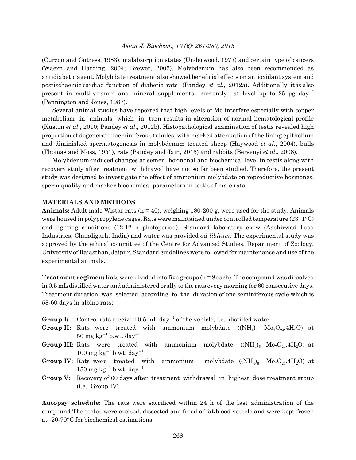(Curzon and Cutress, 1983), malabsorption states (Underwood, 1977) and certain type of cancers (Waern and Harding, 2004; Brewer, 2005). Molybdenum has also been recommended as antidiabetic agent. Molybdate treatment also showed beneficial effects on antioxidant system and postischaemic cardiac function of diabetic rats (Pandey *et al*., 2012a). Additionally, it is also present in multi-vitamin and mineral supplements currently at level up to 25  $\mu$ g day<sup>-1</sup> (Pennington and Jones, 1987).

Several animal studies have reported that high levels of Mo interfere especially with copper metabolism in animals which in turn results in alteration of normal hematological profile (Kusum *et al*., 2010; Pandey *et al*., 2012b). Histopathological examination of testis revealed high proportion of degenerated seminiferous tubules, with marked attenuation of the lining epithelium and diminished spermatogenesis in molybdenum treated sheep (Haywood *et al*., 2004), bulls (Thomas and Moss, 1951), rats (Pandey and Jain, 2015) and rabbits (Bersenyi *et al*., 2008).

Molybdenum-induced changes at semen, hormonal and biochemical level in testis along with recovery study after treatment withdrawal have not so far been studied. Therefore, the present study was designed to investigate the effect of ammonium molybdate on reproductive hormones, sperm quality and marker biochemical parameters in testis of male rats.

# **MATERIALS AND METHODS**

**Animals:** Adult male Wistar rats  $(n = 40)$ , weighing 180-200 g, were used for the study. Animals were housed in polypropylene cages. Rats were maintained under controlled temperature (23±1°C) and lighting conditions (12:12 h photoperiod). Standard laboratory chow (Aashirwad Food Industries, Chandigarh, India) and water was provided *ad libitum*. The experimental study was approved by the ethical committee of the Centre for Advanced Studies, Department of Zoology, University of Rajasthan, Jaipur. Standard guidelines were followed for maintenance and use of the experimental animals.

**Treatment regimen:** Rats were divided into five groups (n = 8 each). The compound was dissolved in 0.5 mL distilled water and administered orally to the rats every morning for 60 consecutive days. Treatment duration was selected according to the duration of one seminiferous cycle which is 58-60 days in albino rats:

- **Group I:** Control rats received  $0.5$  mL day<sup>-1</sup> of the vehicle, i.e., distilled water
- **Group II:** Rats were treated with ammonium molybdate  $((NH_4)_{6}$   $Mo_7O_{24}.4H_2O)$  at  $50 \text{ mg kg}^{-1}$  b.wt. day<sup>-1</sup>
- **Group III:** Rats were treated with ammonium molybdate  $((NH_4)_6 \text{ Mo}_7O_{24}.4H_2O)$  at  $100 \text{ mg kg}^{-1}$  b.wt. day<sup>-1</sup>
- **Group IV:** Rats were treated with ammonium molybdate  $((NH_4)_{6}$   $Mo_7O_{24}.4H_2O)$  at  $150 \text{ mg kg}^{-1}$  b.wt. day<sup>-1</sup>
- **Group V:** Recovery of 60 days after treatment withdrawal in highest dose treatment group (i.e., Group IV)

**Autopsy schedule:** The rats were sacrificed within 24 h of the last administration of the compound The testes were excised, dissected and freed of fat/blood vessels and were kept frozen at -20-70°C for biochemical estimations.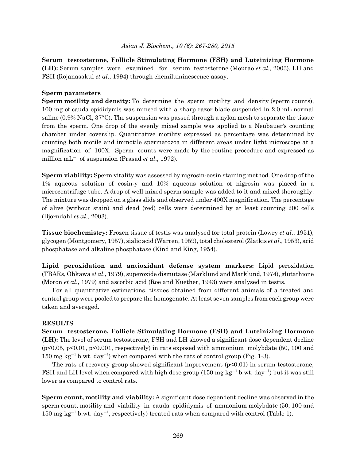**Serum testosterone, Follicle Stimulating Hormone (FSH) and Luteinizing Hormone (LH):** Serum samples were examined for serum testosterone (Mourao *et al*., 2003), LH and FSH (Rojanasakul *et al*., 1994) through chemiluminescence assay.

# **Sperm parameters**

**Sperm motility and density:** To determine the sperm motility and density (sperm counts), 100 mg of cauda epididymis was minced with a sharp razor blade suspended in 2.0 mL normal saline (0.9% NaCl, 37°C). The suspension was passed through a nylon mesh to separate the tissue from the sperm. One drop of the evenly mixed sample was applied to a Neubauer's counting chamber under coverslip. Quantitative motility expressed as percentage was determined by counting both motile and immotile spermatozoa in different areas under light microscope at a magnification of 100X. Sperm counts were made by the routine procedure and expressed as million  $mL^{-1}$  of suspension (Prasad *et al.*, 1972).

**Sperm viability:** Sperm vitality was assessed by nigrosin-eosin staining method. One drop of the 1% aqueous solution of eosin-y and 10% aqueous solution of nigrosin was placed in a microcentrifuge tube. A drop of well mixed sperm sample was added to it and mixed thoroughly. The mixture was dropped on a glass slide and observed under 400X magnification. The percentage of alive (without stain) and dead (red) cells were determined by at least counting 200 cells (Bjorndahl *et al*., 2003).

**Tissue biochemistry:** Frozen tissue of testis was analysed for total protein (Lowry *et al*., 1951), glycogen (Montgomery, 1957), sialic acid (Warren, 1959), total cholesterol (Zlatkis *et al*., 1953), acid phosphatase and alkaline phosphatase (Kind and King, 1954).

**Lipid peroxidation and antioxidant defense system markers:** Lipid peroxidation (TBARs, Ohkawa *et al*., 1979), superoxide dismutase (Marklund and Marklund, 1974), glutathione (Moron *et al*., 1979) and ascorbic acid (Roe and Kuether, 1943) were analysed in testis.

For all quantitative estimations, tissues obtained from different animals of a treated and control group were pooled to prepare the homogenate. At least seven samples from each group were taken and averaged.

#### **RESULTS**

**Serum testosterone, Follicle Stimulating Hormone (FSH) and Luteinizing Hormone (LH):** The level of serum testosterone, FSH and LH showed a significant dose dependent decline  $(p<0.05, p<0.01, p<0.001, respectively)$  in rats exposed with ammonium molybdate (50, 100 and  $150 \text{ mg kg}^{-1}$  b.wt. day<sup>-1</sup>) when compared with the rats of control group (Fig. 1-3).

The rats of recovery group showed significant improvement  $(p<0.01)$  in serum testosterone, FSH and LH level when compared with high dose group (150 mg kg<sup>-1</sup> b.wt. day<sup>-1</sup>) but it was still lower as compared to control rats.

**Sperm count, motility and viability:** A significant dose dependent decline was observed in the sperm count, motility and viability in cauda epididymis of ammonium molybdate (50, 100 and  $150 \text{ mg kg}^{-1}$  b.wt. day<sup>-1</sup>, respectively) treated rats when compared with control (Table 1).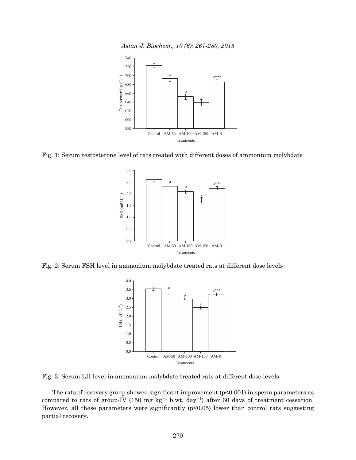*Asian J. Biochem., 10 (6): 267-280, 2015*



Fig. 1: Serum testosterone level of rats treated with different doses of ammonium molybdate



Fig. 2: Serum FSH level in ammonium molybdate treated rats at different dose levels



Fig. 3: Serum LH level in ammonium molybdate treated rats at different dose levels

The rats of recovery group showed significant improvement  $(p<0.001)$  in sperm parameters as compared to rats of group-IV (150 mg  $kg^{-1}$  b.wt. day<sup>-1</sup>) after 60 days of treatment cessation. However, all these parameters were significantly (p<0.05) lower than control rats suggesting partial recovery.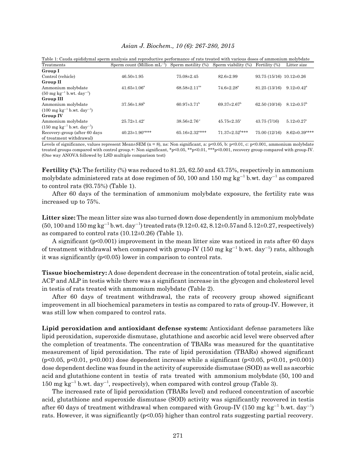| Asian J. Biochem., 10 (6): 267-280, 2015 |  |  |  |  |
|------------------------------------------|--|--|--|--|
|------------------------------------------|--|--|--|--|

| Table 1: Cauda epididymal sperm analysis and reproductive performance of rats treated with various doses of ammonium molybdate |                                                     |                                  |                                  |                            |                                 |
|--------------------------------------------------------------------------------------------------------------------------------|-----------------------------------------------------|----------------------------------|----------------------------------|----------------------------|---------------------------------|
| Treatments                                                                                                                     | Sperm count (Million $mL^{-1}$ ) Sperm motility (%) |                                  | Sperm viability (%)              | Fertility (%)              | Litter size                     |
| Group I                                                                                                                        |                                                     |                                  |                                  |                            |                                 |
| Control (vehicle)                                                                                                              | $46.50 \pm 1.95$                                    | $75.08 \pm 2.45$                 | $82.6 \pm 2.99$                  | $93.75(15/16)10.12\pm0.26$ |                                 |
| Group II                                                                                                                       |                                                     |                                  |                                  |                            |                                 |
| Ammonium molybdate                                                                                                             | $41.65 \pm 1.06^a$                                  | $68.58 \pm 2.11^{\text{ns}}$     | $74.6 \pm 2.28^{\circ}$          | 81.25 (13/16)              | $9.12 \pm 0.42^{\mathrm{a}}$    |
| $(50 \text{ mg kg}^{-1} \text{ b.wt. day}^{-1})$                                                                               |                                                     |                                  |                                  |                            |                                 |
| Group III                                                                                                                      |                                                     |                                  |                                  |                            |                                 |
| Ammonium molybdate                                                                                                             | $37.56\pm1.88^{\rm b}$                              | $60.97 \pm 3.71^{\rm b}$         | $69.37 \pm 2.67$ <sup>b</sup>    | 62.50 (10/16)              | $8.12 \pm 0.57$ <sup>b</sup>    |
| $(100 \text{ mg kg}^{-1} \text{ b.wt. day}^{-1})$                                                                              |                                                     |                                  |                                  |                            |                                 |
| <b>Group IV</b>                                                                                                                |                                                     |                                  |                                  |                            |                                 |
| Ammonium molybdate                                                                                                             | $25.72 \pm 1.42$ <sup>e</sup>                       | $38.56 \pm 2.76$ <sup>c</sup>    | $45.75 \pm 2.35$ <sup>c</sup>    | 43.75(7/16)                | $5.12 \pm 0.27$ <sup>c</sup>    |
| $(150 \text{ mg kg}^{-1} \text{ b.wt. day}^{-1})$                                                                              |                                                     |                                  |                                  |                            |                                 |
| Recovery-group (after 60 days)                                                                                                 | $40.23 \pm 1.90$ <sup>a***</sup>                    | $65.16 \pm 2.32$ <sup>a***</sup> | $71.37 \pm 2.52$ <sup>b***</sup> | 75.00 (12/16)              | $8.62 \pm 0.39$ <sup>a***</sup> |
| of treatment withdrawal)                                                                                                       |                                                     |                                  |                                  |                            |                                 |

Levels of significance, values represent Mean $\pm$ SEM (n = 8), ns: Non significant, a: p<0.05, b: p<0.01, c: p<0.001, ammonium molybdate treated groups compared with control group.+: Non significant, \*p<0.05, \*\*p<0.01, \*\*\*p<0.001, recovery group compared with group-IV. (One way ANOVA followed by LSD multiple comparison test)

Fertility (%): The fertility (%) was reduced to 81.25, 62.50 and 43.75%, respectively in ammonium molybdate administered rats at dose regimen of 50, 100 and 150 mg  $kg^{-1}$  b.wt. day<sup>-1</sup> as compared to control rats (93.75%) (Table 1).

After 60 days of the termination of ammonium molybdate exposure, the fertility rate was increased up to 75%.

**Litter size:** The mean litter size was also turned down dose dependently in ammonium molybdate  $(50, 100 \text{ and } 150 \text{ mg kg}^{-1} \text{ b. wt. day}^{-1})$  treated rats  $(9.12 \pm 0.42, 8.12 \pm 0.57 \text{ and } 5.12 \pm 0.27$ , respectively) as compared to control rats  $(10.12\pm0.26)$  (Table 1).

A significant (p<0.001) improvement in the mean litter size was noticed in rats after 60 days of treatment withdrawal when compared with group-IV (150 mg kg<sup>-1</sup> b.wt. day<sup>-1</sup>) rats, although it was significantly (p<0.05) lower in comparison to control rats.

**Tissue biochemistry:** A dose dependent decrease in the concentration of total protein, sialic acid, ACP and ALP in testis while there was a significant increase in the glycogen and cholesterol level in testis of rats treated with ammonium molybdate (Table 2).

After 60 days of treatment withdrawal, the rats of recovery group showed significant improvement in all biochemical parameters in testis as compared to rats of group-IV. However, it was still low when compared to control rats.

**Lipid peroxidation and antioxidant defense system:** Antioxidant defense parameters like lipid peroxidation, superoxide dismutase, glutathione and ascorbic acid level were observed after the completion of treatments. The concentration of TBARs was measured for the quantitative measurement of lipid peroxidation. The rate of lipid peroxidation (TBARs) showed significant (p<0.05, p<0.01, p<0.001) dose dependent increase while a significant (p<0.05, p<0.01, p<0.001) dose dependent decline was found in the activity of superoxide dismutase (SOD) as well as ascorbic acid and glutathione content in testis of rats treated with ammonium molybdate (50, 100 and  $150 \text{ mg kg}^{-1}$  b.wt. day<sup>-1</sup>, respectively), when compared with control group (Table 3).

The increased rate of lipid peroxidation (TBARs level) and reduced concentration of ascorbic acid, glutathione and superoxide dismutase (SOD) activity was significantly recovered in testis after 60 days of treatment withdrawal when compared with Group-IV (150 mg  $\text{kg}^{-1}$  b.wt. day $^{-1})$ rats. However, it was significantly  $(p<0.05)$  higher than control rats suggesting partial recovery.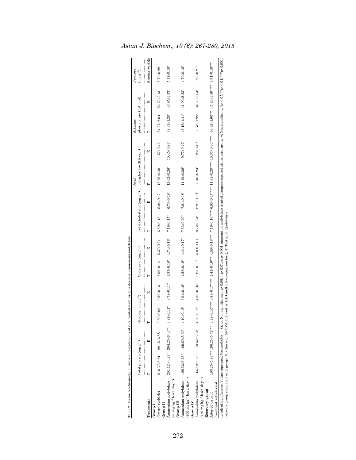|                                                                                                                                                                                                                                                                                                                                                             | Total protein (mg $g^{-1}$ ) |                                                                                              | Glycogen (mg $\mathbf{g}^{-1}$ ) |                       | Sialic acid (mg $g^{-1}$ )                      |                              |                         | Total cholesterol (mg $g^{-1}$ ) | phosphatase (KA unit)<br>Acid |                                                                                                                                                                                                                                | phosphatase (KA unit)<br>Alkaline |                               | Fructose<br>$(mg g^{-1})$ |
|-------------------------------------------------------------------------------------------------------------------------------------------------------------------------------------------------------------------------------------------------------------------------------------------------------------------------------------------------------------|------------------------------|----------------------------------------------------------------------------------------------|----------------------------------|-----------------------|-------------------------------------------------|------------------------------|-------------------------|----------------------------------|-------------------------------|--------------------------------------------------------------------------------------------------------------------------------------------------------------------------------------------------------------------------------|-----------------------------------|-------------------------------|---------------------------|
| reatments                                                                                                                                                                                                                                                                                                                                                   |                              | 囯                                                                                            |                                  | 囯                     |                                                 | 띄                            |                         | 囯                                |                               | 囯                                                                                                                                                                                                                              |                                   | 囯                             | Seminal vesicle           |
| Control (vehicle)<br>Group II<br>Group I                                                                                                                                                                                                                                                                                                                    | 216.37±5.81 221.5±6.58       |                                                                                              | $3.69 + 0.09$                    | $3.50\pm0.13$         | $5.06 \pm 0.14$                                 | $5.37\pm0.21$                | $6.59\pm0.18$           | $6.04 \pm 0.17$                  | 12.96±0.49                    | 11.57±0.42                                                                                                                                                                                                                     | 54.27±2.04                        | $52.23 \pm 2.13$              | 5.79±0.22                 |
| $(50 \text{ mg kg}^{-1} \text{ b.wt. day}^{-1})$<br>Ammonium molybdate<br>$G_{I}$ roup $III$                                                                                                                                                                                                                                                                |                              | $201.12 \pm 4.29$ <sup>4</sup> $204.25 \pm 6.43$ <sup>18</sup> $3.87 \pm 0.14$ <sup>18</sup> |                                  | $3.78 + 0.11ns$       | $4.57 \pm 0.18$ <sup>a</sup>                    | $4.74 \pm 0.16$ <sup>a</sup> | $7.18 + 0.15a$          | $6.73 \pm 0.19$ <sup>a</sup>     | $12.02 \pm 0.26$ <sup>a</sup> | $10.45 \pm 0.24$ <sup>a</sup>                                                                                                                                                                                                  | 48.33±1.20 <sup>a</sup>           | $46.95 \pm 1.53$ <sup>a</sup> | $5.17\pm0.18^a$           |
| Ammonium molybdate 186.62±6.28 <sup>b</sup> 189.60±5.30 <sup>b</sup> 4.10±0.15 <sup>s</sup><br>$(100 \text{ mg kg}^{-1} \text{ b.wt. day}^{-1})$<br>Group IV                                                                                                                                                                                                |                              |                                                                                              |                                  | $3.94 \pm 0.16^a$     | $4.28 \pm 0.19^{\circ}$ $4.41 \pm 0.17^{\circ}$ |                              | $7.63\pm0.20^{\circ}$   | $7.01 \pm 0.18^{\circ}$          | $11.29 \pm 0.26^{\circ}$      | $9.77\pm0.42^{\circ}$                                                                                                                                                                                                          | $45.18 \pm 1.41$ <sup>b</sup>     | $41.00 \pm 2.23^{\circ}$      | $4.79 \pm 0.12^{\rm b}$   |
| Ammonium molybdate 165.12±5.56° 173.62±5.14° 4.50±0.18°<br>$(150 \text{ mg kg}^{-1} \text{ b.wt. day}^{-1})$                                                                                                                                                                                                                                                |                              |                                                                                              |                                  | $4.39\pm0.16^{\circ}$ | $3.83 \pm 0.11^b$                               | $4.09 \pm 0.16$ °            | $8.72 \pm 0.24^{\circ}$ | $8.21 \pm 0.18^{\circ}$          | $8.40 \pm 0.24$ °             | $7.28 \pm 0.49$ °                                                                                                                                                                                                              | 38.70±1.99°                       | 34.53±1.64°                   | $3.98 + 0.21$ °           |
| treatment withdrawal<br>Recovery-group<br>After 60 days of                                                                                                                                                                                                                                                                                                  |                              |                                                                                              |                                  |                       |                                                 |                              |                         |                                  |                               | 1932555.20*** 1932511.02*** 4.91401.02*** 4.44±0.10*** 7.16±0.10*** 7.16±0.10*** 7.18540.10*** 1.1854 1.11.82*** 1.11.82.01 10*** 1.11.82* 1.11.82** 4.620±1.89*** 4.620±1.89*** 4.9140.18*** 4.9140.18** 4.979±1.89*** 4.979± |                                   |                               |                           |
| .evels of significance: V alues represent Mean±SEM (n = 8), ns: Non significant; a: p<0.05, b: p<0.05, b: p<0.001, am monium molybdate treated groups compared with control group, +: Non significant, *p<0.05, **p<0.01, **p<<br>recovery group compared with group-IV. (One way ANOVA followed by LSD multiple comparison test), T: Testis, E: Epididymis |                              |                                                                                              |                                  |                       |                                                 |                              |                         |                                  |                               |                                                                                                                                                                                                                                |                                   |                               |                           |

| ı |
|---|
|   |
|   |
|   |
|   |
|   |
|   |
|   |
|   |
|   |
|   |
|   |
|   |
|   |
|   |
|   |
|   |
|   |
|   |
|   |
|   |
|   |
|   |
|   |
|   |
|   |
|   |
|   |
|   |
|   |
|   |
|   |
| j |
|   |
|   |
|   |
|   |
|   |
|   |
|   |
|   |
|   |
|   |
|   |
|   |
|   |
|   |
|   |
|   |
|   |
|   |
|   |
|   |
|   |
|   |
|   |
|   |
|   |
|   |
|   |
|   |
|   |
|   |
|   |
|   |
|   |
|   |
|   |
| l |
|   |
|   |
| ĺ |
|   |
|   |
|   |
|   |
|   |
|   |
|   |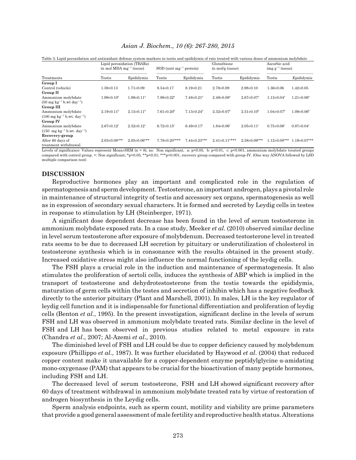|                                                                      |                                | Lipid peroxidation (TBARs)<br>$(n \text{ mol } MDA \text{ mg}^{-1}$ tissue) |                                 | $SOD$ (unit mg <sup>-1</sup> protein) |                                 | Glutathione<br>(n mol/g tissue) |                                | Ascorbic acid<br>$(mg g^{-1}$ tissue) |  |
|----------------------------------------------------------------------|--------------------------------|-----------------------------------------------------------------------------|---------------------------------|---------------------------------------|---------------------------------|---------------------------------|--------------------------------|---------------------------------------|--|
| Treatments                                                           | Testis                         | Epididymis                                                                  | Testis                          | Epididymis                            | Testis                          | Epididymis                      | Testis                         | Epididymis                            |  |
| Group I                                                              |                                |                                                                             |                                 |                                       |                                 |                                 |                                |                                       |  |
| Control (vehicle)                                                    | $1.59 \pm 0.13$                | $1.71 \pm 0.09$                                                             | $8.54 \pm 0.17$                 | $8.19 \pm 0.21$                       | $2.78 \pm 0.09$                 | $2.98 \pm 0.10$                 | $1.36 \pm 0.06$                | $1.42 \pm 0.05$                       |  |
| Group II                                                             |                                |                                                                             |                                 |                                       |                                 |                                 |                                |                                       |  |
| Ammonium molvbdate                                                   | $1.99 \pm 0.10^{\mathrm{a}}$   | $1.98 \pm 0.11$ <sup>a</sup>                                                | $7.89 \pm 0.22$ <sup>a</sup>    | $7.48 \pm 0.21$ <sup>a</sup>          | $2.49 \pm 0.08^a$               | $2.67 \pm 0.07$ <sup>a</sup>    | $1.13 \pm 0.04^a$              | $1.21 \pm 0.06^{\circ}$               |  |
| $(50 \text{ mg kg}^{-1} \text{ b} \cdot \text{wt} \text{ day}^{-1})$ |                                |                                                                             |                                 |                                       |                                 |                                 |                                |                                       |  |
| Group III                                                            |                                |                                                                             |                                 |                                       |                                 |                                 |                                |                                       |  |
| Ammonium molybdate                                                   | $2.19\pm0.11^{b}$              | $2.15 \pm 0.11^b$                                                           | $7.61\pm0.20^b$                 | $7.13\pm0.24^b$                       | $2.32\pm0.07^{\rm b}$           | $2.51\pm0.10^{b}$               | $1.04 \pm 0.07$ <sup>b</sup>   | $1.09 \pm 0.06^{\rm b}$               |  |
| $(100 \text{ mg kg}^{-1} \text{ b.wt. day}^{-1})$                    |                                |                                                                             |                                 |                                       |                                 |                                 |                                |                                       |  |
| <b>Group IV</b>                                                      |                                |                                                                             |                                 |                                       |                                 |                                 |                                |                                       |  |
| Ammonium molybdate                                                   | $2.67 \pm 0.12$ <sup>c</sup>   | $2.52 \pm 0.12$ <sup>c</sup>                                                | $6.72 \pm 0.15$ <sup>c</sup>    | $6.49 \pm 0.17$ <sup>c</sup>          | $1.84 \pm 0.06^{\circ}$         | $2.05 \pm 0.11$ <sup>c</sup>    | $0.75 \pm 0.06$ <sup>c</sup>   | $0.87 \pm 0.04$ <sup>c</sup>          |  |
| $(150 \text{ mg kg}^{-1} \text{ b.wt. day}^{-1})$                    |                                |                                                                             |                                 |                                       |                                 |                                 |                                |                                       |  |
| Recovery-group                                                       |                                |                                                                             |                                 |                                       |                                 |                                 |                                |                                       |  |
| After 60 days of                                                     | $2.03 \pm 0.08$ <sup>a**</sup> | $2.05 \pm 0.06$ <sup>a**</sup>                                              | $7.78 \pm 0.20$ <sup>a***</sup> | $7.44 \pm 0.23$ <sup>a**</sup>        | $2.41 \pm 0.11$ <sup>a***</sup> | $2.58 \pm 0.09$ <sup>a**</sup>  | $1.12 \pm 0.08$ <sup>a**</sup> | $1.19 \pm 0.07$ <sup>a**</sup>        |  |
| treatment withdrawal                                                 |                                |                                                                             |                                 |                                       |                                 |                                 |                                |                                       |  |

Table 3: Lipid peroxidation and antioxidant defense system markers in testis and epididymis of rats treated with various doses of ammonium molybdate

Levels of significance: Values represent Mean±SEM (n = 8), ns: Non significant, a: p<0.05, b: p<0.01, c: p<0.001, ammonium molybdate treated groups compared with control group. +: Non significant; \*p<0.05; \*\*p<0.01; \*\*\*p<0.001, recovery group compared with group-IV. (One way ANOVA followed by LSD multiple comparison test)

# **DISCUSSION**

Reproductive hormones play an important and complicated role in the regulation of spermatogenesis and sperm development. Testosterone, an important androgen, plays a pivotal role in maintenance of structural integrity of testis and accessory sex organs, spermatogenesis as well as in expression of secondary sexual characters. It is formed and secreted by Leydig cells in testes in response to stimulation by LH (Steinberger, 1971).

A significant dose dependent decrease has been found in the level of serum testosterone in ammonium molybdate exposed rats. In a case study, Meeker *et al*. (2010) observed similar decline in level serum testosterone after exposure of molybdenum. Decreased testosterone level in treated rats seems to be due to decreased LH secretion by pituitary or underutilization of cholesterol in testosterone synthesis which is in consonance with the results obtained in the present study. Increased oxidative stress might also influence the normal functioning of the leydig cells.

The FSH plays a crucial role in the induction and maintenance of spermatogenesis. It also stimulates the proliferation of sertoli cells, induces the synthesis of ABP which is implied in the transport of testosterone and dehydrotestosterone from the testis towards the epididymis, maturation of germ cells within the testes and secretion of inhibin which has a negative feedback directly to the anterior pituitary (Plant and Marshell, 2001). In males, LH is the key regulator of leydig cell function and it is indispensable for functional differentiation and proliferation of leydig cells (Benton *et al*., 1995). In the present investigation, significant decline in the levels of serum FSH and LH was observed in ammonium molybdate treated rats. Similar decline in the level of FSH and LH has been observed in previous studies related to metal exposure in rats (Chandra *et al*., 2007; Al-Azemi *et al*., 2010).

The diminished level of FSH and LH could be due to copper deficiency caused by molybdenum exposure (Phillippo *et al*., 1987). It was further elucidated by Haywood *et al*. (2004) that reduced copper content make it unavailable for a copper-dependent enzyme peptidylglycine  $\alpha$ -amidating mono-oxygenase (PAM) that appears to be crucial for the bioactivation of many peptide hormones, including FSH and LH.

The decreased level of serum testosterone, FSH and LH showed significant recovery after 60 days of treatment withdrawal in ammonium molybdate treated rats by virtue of restoration of androgen biosynthesis in the Leydig cells.

Sperm analysis endpoints, such as sperm count, motility and viability are prime parameters that provide a good general assessment of male fertility and reproductive health status. Alterations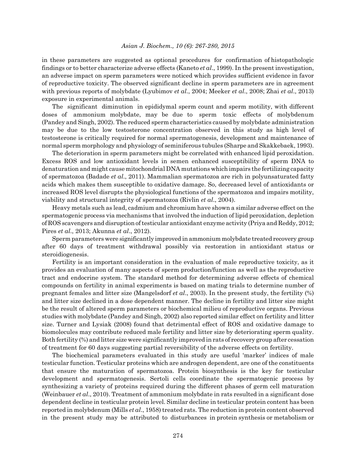in these parameters are suggested as optional procedures for confirmation of histopathologic findings or to better characterize adverse effects (Kaneto *et al*., 1999). In the present investigation, an adverse impact on sperm parameters were noticed which provides sufficient evidence in favor of reproductive toxicity. The observed significant decline in sperm parameters are in agreement with previous reports of molybdate (Lyubimov *et al*., 2004; Meeker *et al*., 2008; Zhai *et al*., 2013) exposure in experimental animals.

The significant diminution in epididymal sperm count and sperm motility, with different doses of ammonium molybdate, may be due to sperm toxic effects of molybdenum (Pandey and Singh, 2002). The reduced sperm characteristics caused by molybdate administration may be due to the low testosterone concentration observed in this study as high level of testosterone is critically required for normal spermatogenesis, development and maintenance of normal sperm morphology and physiology of seminiferous tubules (Sharpe and Skakkebaek, 1993).

The deterioration in sperm parameters might be correlated with enhanced lipid peroxidation. Excess ROS and low antioxidant levels in semen enhanced susceptibility of sperm DNA to denaturation and might cause mitochondrial DNA mutations which impairs the fertilizing capacity of spermatozoa (Badade *et al*., 2011). Mammalian spermatozoa are rich in polyunsaturated fatty acids which makes them susceptible to oxidative damage. So, decreased level of antioxidants or increased ROS level disrupts the physiological functions of the spermatozoa and impairs motility, viability and structural integrity of spermatozoa (Rivlin *et al*., 2004).

Heavy metals such as lead, cadmium and chromium have shown a similar adverse effect on the spermatogenic process via mechanisms that involved the induction of lipid peroxidation, depletion of ROS scavengers and disruption of testicular antioxidant enzyme activity (Priya and Reddy, 2012; Pires *et al*., 2013; Akunna *et al*., 2012).

Sperm parameters were significantly improved in ammonium molybdate treated recovery group after 60 days of treatment withdrawal possibly via restoration in antioxidant status or steroidiogenesis.

Fertility is an important consideration in the evaluation of male reproductive toxicity, as it provides an evaluation of many aspects of sperm production/function as well as the reproductive tract and endocrine system. The standard method for determining adverse effects of chemical compounds on fertility in animal experiments is based on mating trials to determine number of pregnant females and litter size (Mangelsdorf *et al*., 2003). In the present study, the fertility (%) and litter size declined in a dose dependent manner. The decline in fertility and litter size might be the result of altered sperm parameters or biochemical milieu of reproductive organs. Previous studies with molybdate (Pandey and Singh, 2002) also reported similar effect on fertility and litter size. Turner and Lysiak (2008) found that detrimental effect of ROS and oxidative damage to biomolecules may contribute reduced male fertility and litter size by deteriorating sperm quality. Both fertility (%) and litter size were significantly improved in rats of recovery group after cessation of treatment for 60 days suggesting partial reversibility of the adverse effects on fertility.

The biochemical parameters evaluated in this study are useful 'marker' indices of male testicular function. Testicular proteins which are androgen dependent, are one of the constituents that ensure the maturation of spermatozoa. Protein biosynthesis is the key for testicular development and spermatogenesis. Sertoli cells coordinate the spermatogenic process by synthesizing a variety of proteins required during the different phases of germ cell maturation (Weinbauer *et al*., 2010). Treatment of ammonium molybdate in rats resulted in a significant dose dependent decline in testicular protein level. Similar decline in testicular protein content has been reported in molybdenum (Mills *et al*., 1958) treated rats. The reduction in protein content observed in the present study may be attributed to disturbances in protein synthesis or metabolism or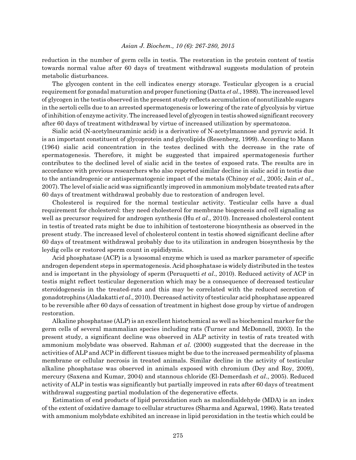reduction in the number of germ cells in testis. The restoration in the protein content of testis towards normal value after 60 days of treatment withdrawal suggests modulation of protein metabolic disturbances.

The glycogen content in the cell indicates energy storage. Testicular glycogen is a crucial requirement for gonadal maturation and proper functioning (Datta *et al*., 1988). The increased level of glycogen in the testis observed in the present study reflects accumulation of nonutilizable sugars in the sertoli cells due to an arrested spermatogenesis or lowering of the rate of glycolysis by virtue of inhibition of enzyme activity. The increased level of glycogen in testis showed significant recovery after 60 days of treatment withdrawal by virtue of increased utilization by spermatozoa.

Sialic acid (N-acetylneuraminic acid) is a derivative of N-acetylmannose and pyruvic acid. It is an important constituent of glycoprotein and glycolipids (Resenberg, 1999). According to Mann (1964) sialic acid concentration in the testes declined with the decrease in the rate of spermatogenesis. Therefore, it might be suggested that impaired spermatogenesis further contributes to the declined level of sialic acid in the testes of exposed rats. The results are in accordance with previous researchers who also reported similar decline in sialic acid in testis due to the antiandrogenic or antispermatogenic impact of the metals (Chinoy *et al*., 2005; Jain *et al*., 2007). The level of sialic acid was significantly improved in ammonium molybdate treated rats after 60 days of treatment withdrawal probably due to restoration of androgen level.

Cholesterol is required for the normal testicular activity. Testicular cells have a dual requirement for cholesterol: they need cholesterol for membrane biogenesis and cell signaling as well as precursor required for androgen synthesis (Hu *et al*., 2010). Increased cholesterol content in testis of treated rats might be due to inhibition of testosterone biosynthesis as observed in the present study. The increased level of cholesterol content in testis showed significant decline after 60 days of treatment withdrawal probably due to its utilization in androgen biosynthesis by the leydig cells or restored sperm count in epididymis.

Acid phosphatase (ACP) is a lysosomal enzyme which is used as marker parameter of specific androgen dependent steps in spermatogenesis. Acid phosphatase is widely distributed in the testes and is important in the physiology of sperm (Peruquetti *et al*., 2010). Reduced activity of ACP in testis might reflect testicular degeneration which may be a consequence of decreased testicular steroidogenesis in the treated-rats and this may be correlated with the reduced secretion of gonadotrophins (Aladakatti *et al*., 2010). Decreased activity of testicular acid phosphatase appeared to be reversible after 60 days of cessation of treatment in highest dose group by virtue of androgen restoration.

Alkaline phosphatase (ALP) is an excellent histochemical as well as biochemical marker for the germ cells of several mammalian species including rats (Turner and McDonnell, 2003). In the present study, a significant decline was observed in ALP activity in testis of rats treated with ammonium molybdate was observed. Rahman *et al*. (2000) suggested that the decrease in the activities of ALP and ACP in different tissues might be due to the increased permeability of plasma membrane or cellular necrosis in treated animals. Similar decline in the activity of testicular alkaline phosphatase was observed in animals exposed with chromium (Dey and Roy, 2009), mercury (Saxena and Kumar, 2004) and stannous chloride (El-Demerdash *et al*., 2005). Reduced activity of ALP in testis was significantly but partially improved in rats after 60 days of treatment withdrawal suggesting partial modulation of the degenerative effects.

Estimation of end products of lipid peroxidation such as malondialdehyde (MDA) is an index of the extent of oxidative damage to cellular structures (Sharma and Agarwal, 1996). Rats treated with ammonium molybdate exhibited an increase in lipid peroxidation in the testis which could be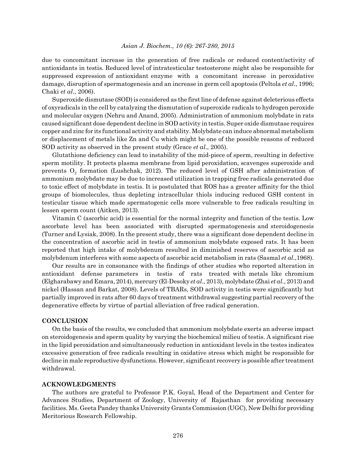due to concomitant increase in the generation of free radicals or reduced content/activity of antioxidants in testis. Reduced level of intratesticular testosterone might also be responsible for suppressed expression of antioxidant enzyme with a concomitant increase in peroxidative damage, disruption of spermatogenesis and an increase in germ cell apoptosis (Peltola *et al*., 1996; Chaki *et al*., 2006).

Superoxide dismutase (SOD) is considered as the first line of defense against deleterious effects of oxyradicals in the cell by catalyzing the dismutation of superoxide radicals to hydrogen peroxide and molecular oxygen (Nehru and Anand, 2005). Administration of ammonium molybdate in rats caused significant dose dependent decline in SOD activity in testis. Super oxide dismutase requires copper and zinc for its functional activity and stability. Molybdate can induce abnormal metabolism or displacement of metals like Zn and Cu which might be one of the possible reasons of reduced SOD activity as observed in the present study (Grace *et al*., 2005).

Glutathione deficiency can lead to instability of the mid-piece of sperm, resulting in defective sperm motility. It protects plasma membrane from lipid peroxidation, scavenges superoxide and prevents  $O_2$  formation (Lushchak, 2012). The reduced level of GSH after administration of ammonium molybdate may be due to increased utilization in trapping free radicals generated due to toxic effect of molybdate in testis. It is postulated that ROS has a greater affinity for the thiol groups of biomolecules, thus depleting intracellular thiols inducing reduced GSH content in testicular tissue which made spermatogenic cells more vulnerable to free radicals resulting in lessen sperm count (Aitken, 2013).

Vitamin C (ascorbic acid) is essential for the normal integrity and function of the testis. Low ascorbate level has been associated with disrupted spermatogenesis and steroidogenesis (Turner and Lysiak, 2008). In the present study, there was a significant dose dependent decline in the concentration of ascorbic acid in testis of ammonium molybdate exposed rats. It has been reported that high intake of molybdenum resulted in diminished reserves of ascorbic acid as molybdenum interferes with some aspects of ascorbic acid metabolism in rats (Sasmal *et al*.,1968).

Our results are in consonance with the findings of other studies who reported alteration in antioxidant defense parameters in testis of rats treated with metals like chromium (Elgharabawy and Emara, 2014), mercury (El-Desoky *et al*., 2013), molybdate (Zhai *et al*., 2013) and nickel (Hassan and Barkat, 2008). Levels of TBARs, SOD activity in testis were significantly but partially improved in rats after 60 days of treatment withdrawal suggesting partial recovery of the degenerative effects by virtue of partial alleviation of free radical generation.

### **CONCLUSION**

On the basis of the results, we concluded that ammonium molybdate exerts an adverse impact on steroidogenesis and sperm quality by varying the biochemical milieu of testis. A significant rise in the lipid peroxidation and simultaneously reduction in antioxidant levels in the testes indicates excessive generation of free radicals resulting in oxidative stress which might be responsible for decline in male reproductive dysfunctions. However, significant recovery is possible after treatment withdrawal.

#### **ACKNOWLEDGMENTS**

The authors are grateful to Professor P.K. Goyal, Head of the Department and Center for Advances Studies, Department of Zoology, University of Rajasthan for providing necessary facilities. Ms. Geeta Pandey thanks University Grants Commission (UGC), New Delhi for providing Meritorious Research Fellowship.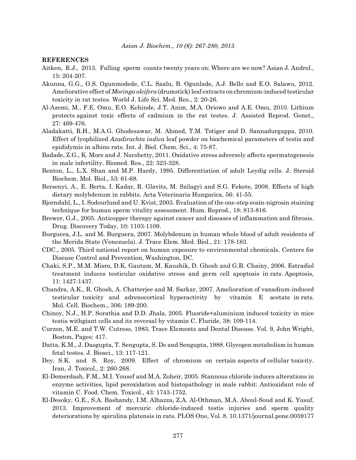#### **REFERENCES**

- Aitken, R.J., 2013. Falling sperm counts twenty years on: Where are we now? Asian J. Androl., 15: 204-207.
- Akunna, G.G., O.S. Ogunmodede, C.L. Saalu, B. Ogunlade, A.J. Bello and E.O. Salawu, 2012. Ameliorative effect of *Moringa oleifera* (drumstick) leaf extracts on chromium-induced testicular toxicity in rat testes. World J. Life Sci. Med. Res., 2: 20-26.
- Al-Azemi, M., F.E. Omu, E.O. Kehinde, J.T. Anim, M.A. Oriowo and A.E. Omu, 2010. Lithium protects against toxic effects of cadmium in the rat testes. J. Assisted Reprod. Genet., 27: 469-476.
- Aladakatti, R.H., M.A.G. Ghodesawar, M. Ahmed, T.M. Totiger and D. Sannadurgappa, 2010. Effect of lyophilized *Azadirachta indica* leaf powder on biochemical parameters of testis and epididymis in albino rats. Int. J. Biol. Chem. Sci., 4: 75-87.
- Badade, Z.G., K. More and J. Narshetty, 2011. Oxidative stress adversely affects spermatogenesis in male infertility. Biomed. Res., 22: 323-328.
- Benton, L., L.X. Shan and M.P. Hardy, 1995. Differentiation of adult Leydig cells. J. Steroid Biochem. Mol. Biol., 53: 61-68.
- Bersenyi, A., E. Berta, I. Kadar, R. Glavits, M. Szilagyi and S.G. Fekete, 2008. Effects of high dietary molybdenum in rabbits. Acta Veterinaria Hungarica, 56: 41-55.
- Bjorndahl, L., I. Sodourlund and U. Kvist, 2003. Evaluation of the one-step eosin-nigrosin staining technique for human sperm vitality assessment. Hum. Reprod., 18: 813-816.
- Brewer, G.J., 2005. Anticopper therapy against cancer and diseases of inflammation and fibrosis. Drug. Discovery Today, 10: 1103-1109.
- Burguera, J.L. and M. Burguera, 2007. Molybdenum in human whole blood of adult residents of the Merida State (Venezuela). J. Trace Elem. Med. Biol., 21: 178-183.
- CDC., 2005. Third national report on human exposure to environmental chemicals. Centers for Disease Control and Prevention, Washington, DC.
- Chaki, S.P., M.M. Misro, D.K. Gautam, M. Kaushik, D. Ghosh and G.B. Chainy, 2006. Estradiol treatment induces testicular oxidative stress and germ cell apoptosis in rats. Apoptosis, 11: 1427-1437.
- Chandra, A.K., R. Ghosh, A. Chatterjee and M. Sarkar, 2007. Amelioration of vanadium-induced testicular toxicity and adrenocortical hyperactivity by vitamin E acetate in rats. Mol. Cell. Biochem., 306: 189-200.
- Chinoy, N.J., H.P. Sorathia and D.D. Jhala, 2005. Fluoride+aluminium induced toxicity in mice testis withgiant cells and its reversal by vitamin C. Fluride, 38: 109-114.
- Curzon, M.E. and T.W. Cutress, 1983. Trace Elements and Dental Disease. Vol. 9, John Wright, Boston, Pages: 417.
- Datta, K.M., J. Dasgupta, T. Sengupta, S. De and Sengupta, 1988. Glycogen metabolism in human fetal testes. J. Biosci., 13: 117-121.
- Dey, S.K. and S. Roy, 2009. Effect of chromium on certain aspects of cellular toxicity. Iran. J. Toxicol., 2: 260-268.
- El-Demerdash, F.M., M.I. Yousef and M.A. Zoheir, 2005. Stannous chloride induces alterations in enzyme activities, lipid peroxidation and histopathology in male rabbit: Antioxidant role of vitamin C. Food. Chem. Toxicol., 43: 1743-1752.
- El-Desoky, G.E., S.A. Bashandy, I.M. Alhazza, Z.A. Al-Othman, M.A. Aboul-Soud and K. Yusuf, 2013. Improvement of mercuric chloride-induced testis injuries and sperm quality deteriorations by spirulina platensis in rats. PLOS One, Vol. 8. 10.1371/journal.pone.0059177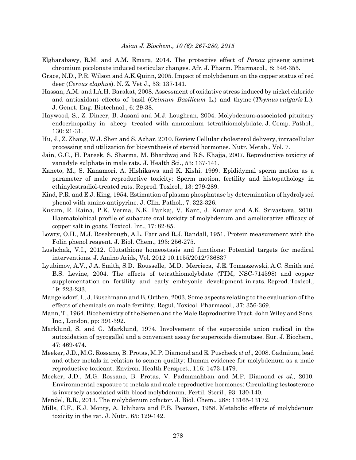- Elgharabawy, R.M. and A.M. Emara, 2014. The protective effect of *Panax* ginseng against chromium picolonate induced testicular changes. Afr. J. Pharm. Pharmacol., 8: 346-355.
- Grace, N.D., P.R. Wilson and A.K.Quinn, 2005. Impact of molybdenum on the copper status of red deer (*Cervus elaphus*). N. Z. Vet J., 53: 137-141.
- Hassan, A.M. and I.A.H. Barakat, 2008. Assessment of oxidative stress induced by nickel chloride and antioxidant effects of basil (*Ocimum Basilicum* L.) and thyme (*Thymus vulgaris* L.). J. Genet. Eng. Biotechnol., 6: 29-38.
- Haywood, S., Z. Dincer, B. Jasani and M.J. Loughran, 2004. Molybdenum-associated pituitary endocrinopathy in sheep treated with ammonium tetrathiomolybdate. J. Comp. Pathol., 130: 21-31.
- Hu, J., Z. Zhang, W.J. Shen and S. Azhar, 2010. Review Cellular cholesterol delivery, intracellular processing and utilization for biosynthesis of steroid hormones. Nutr. Metab., Vol. 7.
- Jain, G.C., H. Pareek, S. Sharma, M. Bhardwaj and B.S. Khajja, 2007. Reproductive toxicity of vanadyle sulphate in male rats. J. Health Sci., 53: 137-141.
- Kaneto, M., S. Kanamori, A. Hishikawa and K. Kishi, 1999. Epididymal sperm motion as a parameter of male reproductive toxicity: Sperm motion, fertility and histopathology in ethinylestradiol-treated rats. Reprod. Toxicol., 13: 279-289.
- Kind, P.R. and E.J. King, 1954. Estimation of plasma phosphatase by determination of hydrolysed phenol with amino-antipyrine. J. Clin. Pathol., 7: 322-326.
- Kusum, R. Raina, P.K. Verma, N.K. Pankaj, V. Kant, J. Kumar and A.K. Srivastava, 2010. Haematolohical profile of subacute oral toxicity of molybdenum and ameliorative efficacy of copper salt in goats. Toxicol. Int., 17: 82-85.
- Lowry, O.H., M.J. Rosebrough, A.L. Farr and R.J. Randall, 1951. Protein measurement with the Folin phenol reagent. J. Biol. Chem., 193: 256-275.
- Lushchak, V.I., 2012. Glutathione homeostasis and functions: Potential targets for medical interventions. J. Amino Acids, Vol. 2012 10.1155/2012/736837
- Lyubimov, A.V., J.A. Smith, S.D. Rousselle, M.D. Mercieca, J.E. Tomaszewski, A.C. Smith and B.S. Levine, 2004. The effects of tetrathiomolybdate (TTM, NSC-714598) and copper supplementation on fertility and early embryonic development in rats. Reprod. Toxicol., 19: 223-233.
- Mangelsdorf, I., J. Buschmann and B. Orthen, 2003. Some aspects relating to the evaluation of the effects of chemicals on male fertility. Regul. Toxicol. Pharmacol., 37: 356-369.
- Mann, T., 1964. Biochemistry of the Semen and the Male Reproductive Tract. John Wiley and Sons, Inc., London, pp: 391-392.
- Marklund, S. and G. Marklund, 1974. Involvement of the superoxide anion radical in the autoxidation of pyrogallol and a convenient assay for superoxide dismutase. Eur. J. Biochem., 47: 469-474.
- Meeker, J.D., M.G. Rossano, B. Protas, M.P. Diamond and E. Puscheck *et al*., 2008. Cadmium, lead and other metals in relation to semen quality: Human evidence for molybdenum as a male reproductive toxicant. Environ. Health Perspect., 116: 1473-1479.
- Meeker, J.D., M.G. Rossano, B. Protas, V. Padmanahban and M.P. Diamond *et al*., 2010. Environmental exposure to metals and male reproductive hormones: Circulating testosterone is inversely associated with blood molybdenum. Fertil. Steril., 93: 130-140.

Mendel, R.R., 2013. The molybdenum cofactor. J. Biol. Chem., 288: 13165-13172.

Mills, C.F., K.J. Monty, A. Ichihara and P.B. Pearson, 1958. Metabolic effects of molybdenum toxicity in the rat. J. Nutr., 65: 129-142.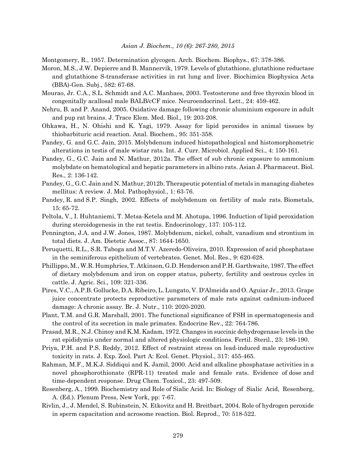Montgomery, R., 1957. Determination glycogen. Arch. Biochem. Biophys., 67: 378-386.

- Moron, M.S., J.W. Depierre and B. Mannervik, 1979. Levels of glutathione, glutathione reductase and glutathione S-transferase activities in rat lung and liver. Biochimica Biophysica Acta (BBA)-Gen. Subj., 582: 67-68.
- Mourao, Jr. C.A., S.L. Schmidt and A.C. Manhaes, 2003. Testosterone and free thyroxin blood in congenitally acallosal male BALB/cCF mice. Neuroendocrinol. Lett., 24: 459-462.
- Nehru, B. and P. Anand, 2005. Oxidative damage following chronic aluminium exposure in adult and pup rat brains. J. Trace Elem. Med. Biol., 19: 203-208.
- Ohkawa, H., N. Ohishi and K. Yagi, 1979. Assay for lipid peroxides in animal tissues by thiobarbituric acid reaction. Anal. Biochem., 95: 351-358.
- Pandey, G. and G.C. Jain, 2015. Molybdenum induced histopathological and histomorphometric alterations in testis of male wistar rats. Int. J. Curr. Microbiol. Applied Sci., 4: 150-161.
- Pandey, G., G.C. Jain and N. Mathur, 2012a. The effect of sub chronic exposure to ammonium molybdate on hematological and hepatic parameters in albino rats. Asian J. Pharmaceut. Biol. Res., 2: 136-142.
- Pandey, G., G.C. Jain and N. Mathur, 2012b. Therapeutic potential of metals in managing diabetes mellitus: A review. J. Mol. Pathophysiol., 1: 63-76.
- Pandey, R. and S.P. Singh, 2002. Effects of molybdenum on fertility of male rats. Biometals, 15: 65-72.
- Peltola, V., I. Huhtaniemi, T. Metsa-Ketela and M. Ahotupa, 1996. Induction of lipid peroxidation during steroidogenesis in the rat testis. Endocrinology, 137: 105-112.
- Pennington, J.A. and J.W. Jones, 1987. Molybdenum, nickel, cobalt, vanadium and strontium in total diets. J. Am. Dietetic Assoc., 87: 1644-1650.
- Peruquetti, R.L., S.R. Taboga and M.T.V. Azeredo-Oliveira, 2010. Expression of acid phosphatase in the seminiferous epithelium of vertebrates. Genet. Mol. Res., 9: 620-628.
- Phillippo, M., W.R. Humphries, T. Atkinson, G.D. Henderson and P.H. Garthwaite, 1987. The effect of dietary molybdenum and iron on copper status, puberty, fertility and oestrous cycles in cattle. J. Agric. Sci., 109: 321-336.
- Pires, V.C., A.P.B. Gollucke, D.A. Ribeiro, L. Lungato, V. D'Almeida and O. Aguiar Jr., 2013. Grape juice concentrate protects reproductive parameters of male rats against cadmium-induced damage: A chronic assay. Br. J. Nutr., 110: 2020-2020.
- Plant, T.M. and G.R. Marshall, 2001. The functional significance of FSH in spermatogenesis and the control of its secretion in male primates. Endocrine Rev., 22: 764-786.
- Prasad, M.R., N.J. Chinoy and K.M. Kadam, 1972. Changes in succinic dehydrogenase levels in the rat epididymis under normal and altered physiologic conditions. Fertil. Steril., 23: 186-190.
- Priya, P.H. and P.S. Reddy, 2012. Effect of restraint stress on lead-induced male reproductive toxicity in rats. J. Exp. Zool. Part A: Ecol. Genet. Physiol., 317: 455-465.
- Rahman, M.F., M.K.J. Siddiqui and K. Jamil, 2000. Acid and alkaline phosphatase activities in a novel phosphorothionate (RPR-11) treated male and female rats. Evidence of dose and time-dependent response. Drug Chem. Toxicol., 23: 497-509.
- Resenberg, A., 1999. Biochemistry and Role of Sialic Acid. In: Biology of Sialic Acid, Resenberg, A. (Ed.). Plenum Press, New York, pp: 7-67.
- Rivlin, J., J. Mendel, S. Rubinstein, N. Etkovitz and H. Breitbart, 2004. Role of hydrogen peroxide in sperm capacitation and acrosome reaction. Biol. Reprod., 70: 518-522.